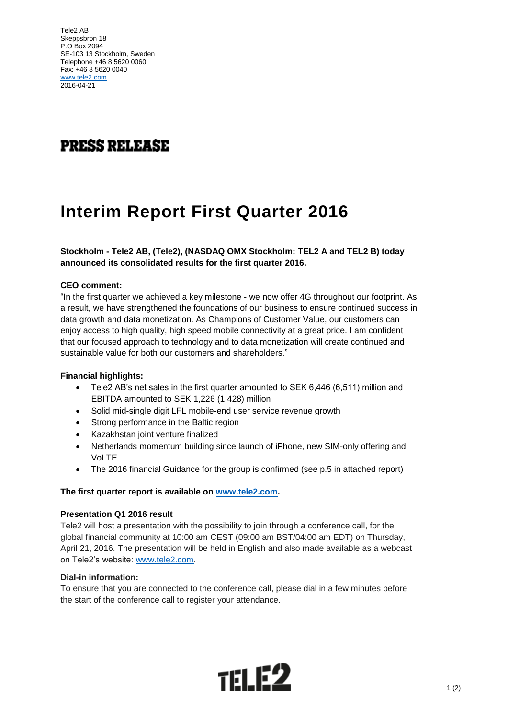Tele2 AB Skeppsbron 18 P.O Box 2094 SE-103 13 Stockholm, Sweden Telephone +46 8 5620 0060 Fax: +46 8 5620 0040 [www.tele2.com](http://www.tele2.com/) 2016-04-21

## **PRESS RELEASE**

# **Interim Report First Quarter 2016**

### **Stockholm - Tele2 AB, (Tele2), (NASDAQ OMX Stockholm: TEL2 A and TEL2 B) today announced its consolidated results for the first quarter 2016.**

#### **CEO comment:**

"In the first quarter we achieved a key milestone - we now offer 4G throughout our footprint. As a result, we have strengthened the foundations of our business to ensure continued success in data growth and data monetization. As Champions of Customer Value, our customers can enjoy access to high quality, high speed mobile connectivity at a great price. I am confident that our focused approach to technology and to data monetization will create continued and sustainable value for both our customers and shareholders."

#### **Financial highlights:**

- Tele2 AB's net sales in the first quarter amounted to SEK 6,446 (6,511) million and EBITDA amounted to SEK 1,226 (1,428) million
- Solid mid-single digit LFL mobile-end user service revenue growth
- Strong performance in the Baltic region
- Kazakhstan joint venture finalized
- Netherlands momentum building since launch of iPhone, new SIM-only offering and VoLTE
- The 2016 financial Guidance for the group is confirmed (see p.5 in attached report)

#### **The first quarter report is available on [www.tele2.com.](http://www.tele2.com/)**

#### **Presentation Q1 2016 result**

Tele2 will host a presentation with the possibility to join through a conference call, for the global financial community at 10:00 am CEST (09:00 am BST/04:00 am EDT) on Thursday, April 21, 2016. The presentation will be held in English and also made available as a webcast on Tele2's website: [www.tele2.com.](http://www.tele2.com/)

#### **Dial-in information:**

To ensure that you are connected to the conference call, please dial in a few minutes before the start of the conference call to register your attendance.